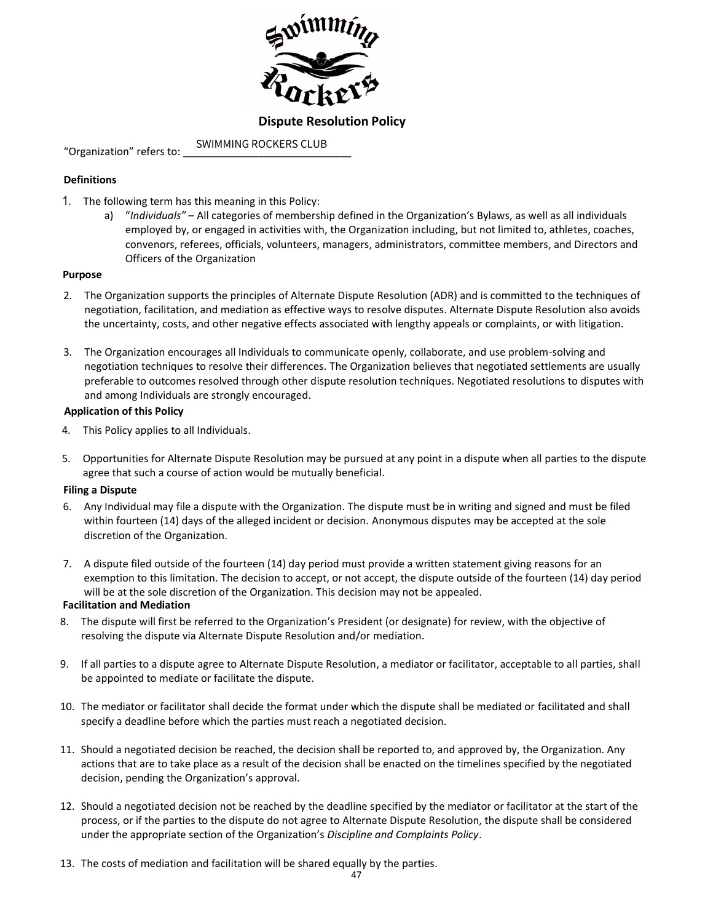

## **Dispute Resolution Policy**

"Organization" refers to: SWIMMING ROCKERS CLUB

## **Definitions**

- 1. The following term has this meaning in this Policy:
	- a) "*Individuals"* All categories of membership defined in the Organization's Bylaws, as well as all individuals employed by, or engaged in activities with, the Organization including, but not limited to, athletes, coaches, convenors, referees, officials, volunteers, managers, administrators, committee members, and Directors and Officers of the Organization

### **Purpose**

- 2. The Organization supports the principles of Alternate Dispute Resolution (ADR) and is committed to the techniques of negotiation, facilitation, and mediation as effective ways to resolve disputes. Alternate Dispute Resolution also avoids the uncertainty, costs, and other negative effects associated with lengthy appeals or complaints, or with litigation.
- 3. The Organization encourages all Individuals to communicate openly, collaborate, and use problem-solving and negotiation techniques to resolve their differences. The Organization believes that negotiated settlements are usually preferable to outcomes resolved through other dispute resolution techniques. Negotiated resolutions to disputes with and among Individuals are strongly encouraged.

### **Application of this Policy**

- 4. This Policy applies to all Individuals.
- 5. Opportunities for Alternate Dispute Resolution may be pursued at any point in a dispute when all parties to the dispute agree that such a course of action would be mutually beneficial.

#### **Filing a Dispute**

- 6. Any Individual may file a dispute with the Organization. The dispute must be in writing and signed and must be filed within fourteen (14) days of the alleged incident or decision. Anonymous disputes may be accepted at the sole discretion of the Organization.
- 7. A dispute filed outside of the fourteen (14) day period must provide a written statement giving reasons for an exemption to this limitation. The decision to accept, or not accept, the dispute outside of the fourteen (14) day period will be at the sole discretion of the Organization. This decision may not be appealed.

#### **Facilitation and Mediation**

- 8. The dispute will first be referred to the Organization's President (or designate) for review, with the objective of resolving the dispute via Alternate Dispute Resolution and/or mediation.
- 9. If all parties to a dispute agree to Alternate Dispute Resolution, a mediator or facilitator, acceptable to all parties, shall be appointed to mediate or facilitate the dispute.
- 10. The mediator or facilitator shall decide the format under which the dispute shall be mediated or facilitated and shall specify a deadline before which the parties must reach a negotiated decision.
- 11. Should a negotiated decision be reached, the decision shall be reported to, and approved by, the Organization. Any actions that are to take place as a result of the decision shall be enacted on the timelines specified by the negotiated decision, pending the Organization's approval.
- 12. Should a negotiated decision not be reached by the deadline specified by the mediator or facilitator at the start of the process, or if the parties to the dispute do not agree to Alternate Dispute Resolution, the dispute shall be considered under the appropriate section of the Organization's *Discipline and Complaints Policy*.
- 13. The costs of mediation and facilitation will be shared equally by the parties.